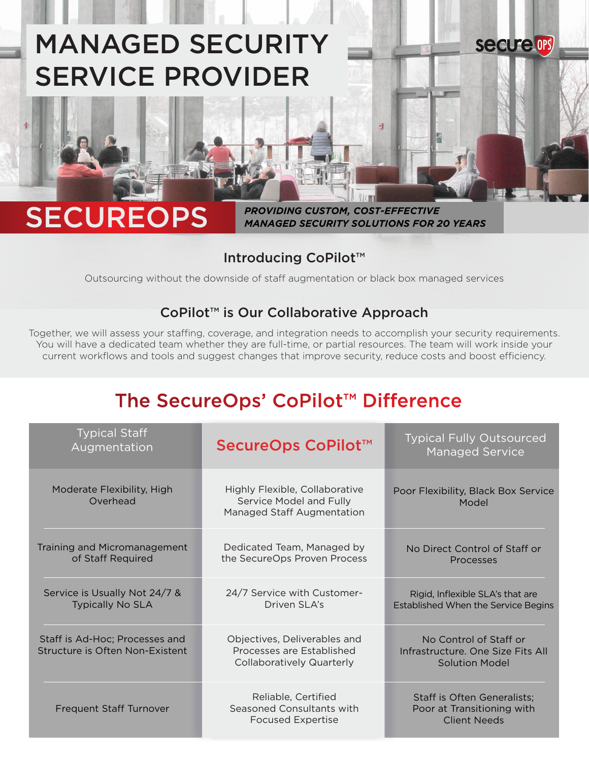# MANAGED SECURITY SERVICE PROVIDER

## SECUREOPS

*PROVIDING CUSTOM, COST-EFFECTIVE MANAGED SECURITY SOLUTIONS FOR 20 YEARS*

計

**secure OPS** 

#### Introducing CoPilot™

Outsourcing without the downside of staff augmentation or black box managed services

#### CoPilot™ is Our Collaborative Approach

Together, we will assess your staffing, coverage, and integration needs to accomplish your security requirements. You will have a dedicated team whether they are full-time, or partial resources. The team will work inside your current workflows and tools and suggest changes that improve security, reduce costs and boost efficiency.

### The SecureOps' CoPilot™ Difference

| <b>Typical Staff</b><br>Augmentation                              | SecureOps CoPilot™                                                                            | <b>Typical Fully Outsourced</b><br><b>Managed Service</b>                            |
|-------------------------------------------------------------------|-----------------------------------------------------------------------------------------------|--------------------------------------------------------------------------------------|
| Moderate Flexibility, High<br>Overhead                            | Highly Flexible, Collaborative<br>Service Model and Fully<br>Managed Staff Augmentation       | Poor Flexibility, Black Box Service<br>Model                                         |
| Training and Micromanagement<br>of Staff Required                 | Dedicated Team, Managed by<br>the SecureOps Proven Process                                    | No Direct Control of Staff or<br><b>Processes</b>                                    |
| Service is Usually Not 24/7 &<br><b>Typically No SLA</b>          | 24/7 Service with Customer-<br>Driven SLA's                                                   | Rigid, Inflexible SLA's that are<br>Established When the Service Begins              |
| Staff is Ad-Hoc; Processes and<br>Structure is Often Non-Existent | Objectives, Deliverables and<br>Processes are Established<br><b>Collaboratively Quarterly</b> | No Control of Staff or<br>Infrastructure, One Size Fits All<br><b>Solution Model</b> |
| <b>Frequent Staff Turnover</b>                                    | Reliable, Certified<br>Seasoned Consultants with<br><b>Focused Expertise</b>                  | Staff is Often Generalists;<br>Poor at Transitioning with<br><b>Client Needs</b>     |